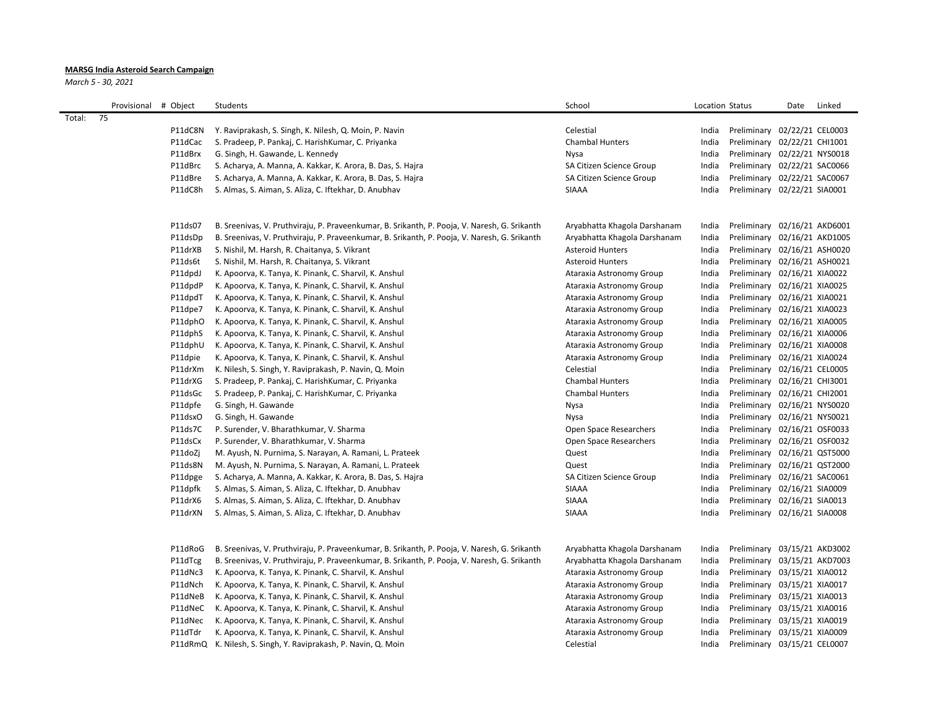## **MARSG India Asteroid Search Campaign**

*March 5 - 30, 2021*

|        | Provisional # Object |                    | Students                                                                                                                                               | School                                                   | <b>Location Status</b> |                                                              | Date | Linked |
|--------|----------------------|--------------------|--------------------------------------------------------------------------------------------------------------------------------------------------------|----------------------------------------------------------|------------------------|--------------------------------------------------------------|------|--------|
| Total: | 75                   |                    |                                                                                                                                                        |                                                          |                        |                                                              |      |        |
|        |                      | P11dC8N            | Y. Raviprakash, S. Singh, K. Nilesh, Q. Moin, P. Navin                                                                                                 | Celestial                                                | India                  | Preliminary 02/22/21 CEL0003                                 |      |        |
|        |                      | P11dCac            | S. Pradeep, P. Pankaj, C. HarishKumar, C. Priyanka                                                                                                     | <b>Chambal Hunters</b>                                   | India                  | Preliminary 02/22/21 CHI1001                                 |      |        |
|        |                      | P11dBrx            | G. Singh, H. Gawande, L. Kennedy                                                                                                                       | Nysa                                                     | India                  | Preliminary 02/22/21 NYS0018                                 |      |        |
|        |                      | P11dBrc            | S. Acharya, A. Manna, A. Kakkar, K. Arora, B. Das, S. Hajra                                                                                            | SA Citizen Science Group                                 | India                  | Preliminary 02/22/21 SAC0066                                 |      |        |
|        |                      | P11dBre            | S. Acharya, A. Manna, A. Kakkar, K. Arora, B. Das, S. Hajra                                                                                            | SA Citizen Science Group                                 | India                  | Preliminary 02/22/21 SAC0067                                 |      |        |
|        |                      | P11dC8h            | S. Almas, S. Aiman, S. Aliza, C. Iftekhar, D. Anubhav                                                                                                  | <b>SIAAA</b>                                             | India                  | Preliminary 02/22/21 SIA0001                                 |      |        |
|        |                      | P11ds07            | B. Sreenivas, V. Pruthviraju, P. Praveenkumar, B. Srikanth, P. Pooja, V. Naresh, G. Srikanth                                                           | Aryabhatta Khagola Darshanam                             | India                  | Preliminary 02/16/21 AKD6001                                 |      |        |
|        |                      | P11dsDp            | B. Sreenivas, V. Pruthviraju, P. Praveenkumar, B. Srikanth, P. Pooja, V. Naresh, G. Srikanth                                                           | Aryabhatta Khagola Darshanam                             | India                  | Preliminary 02/16/21 AKD1005                                 |      |        |
|        |                      | P11drXB            | S. Nishil, M. Harsh, R. Chaitanya, S. Vikrant                                                                                                          | <b>Asteroid Hunters</b>                                  | India                  | Preliminary 02/16/21 ASH0020                                 |      |        |
|        |                      | P11ds6t            | S. Nishil, M. Harsh, R. Chaitanya, S. Vikrant                                                                                                          | <b>Asteroid Hunters</b>                                  | India                  | Preliminary 02/16/21 ASH0021                                 |      |        |
|        |                      | P11dpdJ            | K. Apoorva, K. Tanya, K. Pinank, C. Sharvil, K. Anshul                                                                                                 | Ataraxia Astronomy Group                                 | India                  | Preliminary 02/16/21 XIA0022                                 |      |        |
|        |                      | P11dpdP            | K. Apoorva, K. Tanya, K. Pinank, C. Sharvil, K. Anshul                                                                                                 | Ataraxia Astronomy Group                                 | India                  | Preliminary 02/16/21 XIA0025                                 |      |        |
|        |                      | P11dpdT            | K. Apoorva, K. Tanya, K. Pinank, C. Sharvil, K. Anshul                                                                                                 | Ataraxia Astronomy Group                                 | India                  | Preliminary 02/16/21 XIA0021                                 |      |        |
|        |                      | P11dpe7            | K. Apoorva, K. Tanya, K. Pinank, C. Sharvil, K. Anshul                                                                                                 | Ataraxia Astronomy Group                                 | India                  | Preliminary 02/16/21 XIA0023                                 |      |        |
|        |                      | P11dphO            | K. Apoorva, K. Tanya, K. Pinank, C. Sharvil, K. Anshul                                                                                                 | Ataraxia Astronomy Group                                 | India                  | Preliminary 02/16/21 XIA0005                                 |      |        |
|        |                      | P11dphS            | K. Apoorva, K. Tanya, K. Pinank, C. Sharvil, K. Anshul                                                                                                 | Ataraxia Astronomy Group                                 | India                  | Preliminary 02/16/21 XIA0006                                 |      |        |
|        |                      | P11dphU            | K. Apoorva, K. Tanya, K. Pinank, C. Sharvil, K. Anshul                                                                                                 | Ataraxia Astronomy Group                                 | India                  | Preliminary 02/16/21 XIA0008                                 |      |        |
|        |                      | P11dpie            | K. Apoorva, K. Tanya, K. Pinank, C. Sharvil, K. Anshul                                                                                                 | Ataraxia Astronomy Group                                 | India                  | Preliminary 02/16/21 XIA0024                                 |      |        |
|        |                      | P11drXm            | K. Nilesh, S. Singh, Y. Raviprakash, P. Navin, Q. Moin                                                                                                 | Celestial                                                | India                  | Preliminary 02/16/21 CEL0005                                 |      |        |
|        |                      | P11drXG            | S. Pradeep, P. Pankaj, C. HarishKumar, C. Priyanka                                                                                                     | <b>Chambal Hunters</b>                                   | India                  | Preliminary 02/16/21 CHI3001                                 |      |        |
|        |                      | P11dsGc            | S. Pradeep, P. Pankaj, C. HarishKumar, C. Priyanka                                                                                                     | <b>Chambal Hunters</b>                                   | India                  | Preliminary 02/16/21 CHI2001                                 |      |        |
|        |                      | P11dpfe            | G. Singh, H. Gawande                                                                                                                                   | Nysa                                                     | India                  | Preliminary 02/16/21 NYS0020                                 |      |        |
|        |                      | P11dsxO            | G. Singh, H. Gawande                                                                                                                                   | Nysa                                                     | India                  | Preliminary 02/16/21 NYS0021                                 |      |        |
|        |                      | P11ds7C            | P. Surender, V. Bharathkumar, V. Sharma                                                                                                                | Open Space Researchers                                   | India                  | Preliminary 02/16/21 OSF0033                                 |      |        |
|        |                      | P11dsCx            | P. Surender, V. Bharathkumar, V. Sharma                                                                                                                | Open Space Researchers                                   | India                  | Preliminary 02/16/21 OSF0032                                 |      |        |
|        |                      | P11doZj            | M. Ayush, N. Purnima, S. Narayan, A. Ramani, L. Prateek                                                                                                | Quest                                                    | India                  | Preliminary 02/16/21 QST5000                                 |      |        |
|        |                      | P11ds8N            | M. Ayush, N. Purnima, S. Narayan, A. Ramani, L. Prateek                                                                                                | Quest                                                    | India                  | Preliminary 02/16/21 QST2000                                 |      |        |
|        |                      | P11dpge            | S. Acharya, A. Manna, A. Kakkar, K. Arora, B. Das, S. Hajra                                                                                            | SA Citizen Science Group                                 | India                  | Preliminary 02/16/21 SAC0061                                 |      |        |
|        |                      | P11dpfk            | S. Almas, S. Aiman, S. Aliza, C. Iftekhar, D. Anubhav                                                                                                  | <b>SIAAA</b>                                             | India                  | Preliminary 02/16/21 SIA0009                                 |      |        |
|        |                      | P11drX6            | S. Almas, S. Aiman, S. Aliza, C. Iftekhar, D. Anubhav                                                                                                  | SIAAA                                                    | India                  | Preliminary 02/16/21 SIA0013                                 |      |        |
|        |                      | P11drXN            | S. Almas, S. Aiman, S. Aliza, C. Iftekhar, D. Anubhav                                                                                                  | <b>SIAAA</b>                                             | India                  | Preliminary 02/16/21 SIA0008                                 |      |        |
|        |                      | P11dRoG            | B. Sreenivas, V. Pruthviraju, P. Praveenkumar, B. Srikanth, P. Pooja, V. Naresh, G. Srikanth                                                           | Aryabhatta Khagola Darshanam                             | India                  | Preliminary 03/15/21 AKD3002                                 |      |        |
|        |                      |                    |                                                                                                                                                        |                                                          |                        |                                                              |      |        |
|        |                      | P11dTcg<br>P11dNc3 | B. Sreenivas, V. Pruthviraju, P. Praveenkumar, B. Srikanth, P. Pooja, V. Naresh, G. Srikanth<br>K. Apoorva, K. Tanya, K. Pinank, C. Sharvil, K. Anshul | Aryabhatta Khagola Darshanam<br>Ataraxia Astronomy Group | India<br>India         | Preliminary 03/15/21 AKD7003<br>Preliminary 03/15/21 XIA0012 |      |        |
|        |                      |                    |                                                                                                                                                        |                                                          |                        | Preliminary 03/15/21 XIA0017                                 |      |        |
|        |                      | P11dNch            | K. Apoorva, K. Tanya, K. Pinank, C. Sharvil, K. Anshul                                                                                                 | Ataraxia Astronomy Group                                 | India                  |                                                              |      |        |
|        |                      | P11dNeB<br>P11dNeC | K. Apoorva, K. Tanya, K. Pinank, C. Sharvil, K. Anshul                                                                                                 | Ataraxia Astronomy Group                                 | India<br>India         | Preliminary 03/15/21 XIA0013                                 |      |        |
|        |                      | P11dNec            | K. Apoorva, K. Tanya, K. Pinank, C. Sharvil, K. Anshul                                                                                                 | Ataraxia Astronomy Group                                 | India                  | Preliminary 03/15/21 XIA0016<br>Preliminary 03/15/21 XIA0019 |      |        |
|        |                      | P11dTdr            | K. Apoorva, K. Tanya, K. Pinank, C. Sharvil, K. Anshul                                                                                                 | Ataraxia Astronomy Group<br>Ataraxia Astronomy Group     |                        | Preliminary 03/15/21 XIA0009                                 |      |        |
|        |                      |                    | K. Apoorva, K. Tanya, K. Pinank, C. Sharvil, K. Anshul                                                                                                 |                                                          | India                  |                                                              |      |        |
|        |                      |                    | P11dRmQ K. Nilesh, S. Singh, Y. Raviprakash, P. Navin, Q. Moin                                                                                         | Celestial                                                | India                  | Preliminary 03/15/21 CEL0007                                 |      |        |